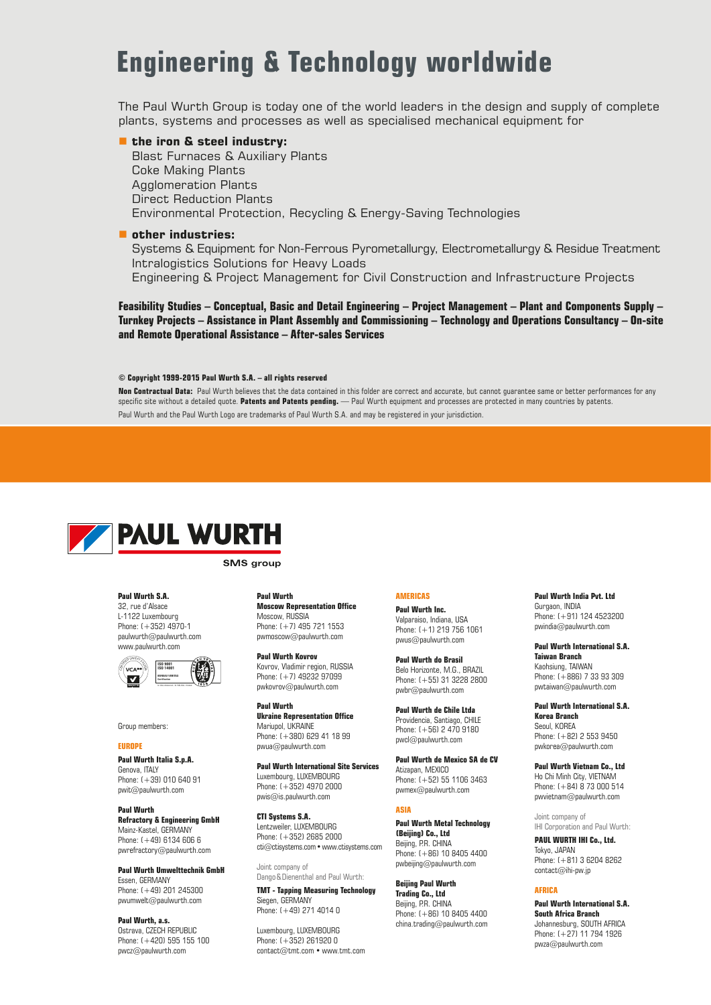## **Engineering & Technology worldwide**

The Paul Wurth Group is today one of the world leaders in the design and supply of complete plants, systems and processes as well as specialised mechanical equipment for

#### ■ the iron & steel industry:

Blast Furnaces & Auxiliary Plants Coke Making Plants Agglomeration Plants Direct Reduction Plants Environmental Protection, Recycling & Energy-Saving Technologies

#### **other industries:**

Systems & Equipment for Non-Ferrous Pyrometallurgy, Electrometallurgy & Residue Treatment Intralogistics Solutions for Heavy Loads Engineering & Project Management for Civil Construction and Infrastructure Projects

**Feasibility Studies – Conceptual, Basic and Detail Engineering – Project Management – Plant and Components Supply – Turnkey Projects – Assistance in Plant Assembly and Commissioning – Technology and Operations Consultancy – On-site and Remote Operational Assistance – After-sales Services**

#### **© Copyright 1999-2015 Paul Wurth S.A. – all rights reserved**

**Non Contractual Data:** Paul Wurth believes that the data contained in this folder are correct and accurate, but cannot guarantee same or better performances for any specific site without a detailed quote. **Patents and Patents pending.** — Paul Wurth equipment and processes are protected in many countries by patents. Paul Wurth and the Paul Wurth Logo are trademarks of Paul Wurth S.A. and may be registered in your jurisdiction.



**SMS** aroup

**Paul Wurth S.A.** 32, rue d'Alsace L-1122 Luxembourg Phone: (+352) 4970-1 paulwurth@paulwurth.com www.paulwurth.com



Group members:

**EUROPE Paul Wurth Italia S.p.A.** Genova, ITALY Phone: (+39) 010 640 91 pwit@paulwurth.com

**Paul Wurth Refractory & Engineering GmbH** Mainz-Kastel, GERMANY Phone:  $( +49)$  6134 606 6 pwrefractory@paulwurth.com

**Paul Wurth Umwelttechnik GmbH** Essen, GERMANY Phone: (+49) 201 245300 pwumwelt@paulwurth.com

**Paul Wurth, a.s.** Ostrava, CZECH REPUBLIC Phone: (+420) 595 155 100 pwcz@paulwurth.com

**Paul Wurth Moscow Representation Office** Moscow, RUSSIA Phone: (+7) 495 721 1553 pwmoscow@paulwurth.com

**Paul Wurth Kovrov** Kovrov, Vladimir region, RUSSIA Phone: (+7) 49232 97099 pwkovrov@paulwurth.com

**Paul Wurth Ukraine Representation Office** Mariupol, UKRAINE Phone: (+380) 629 41 18 99 pwua@paulwurth.com

**Paul Wurth International Site Services** Luxembourg, LUXEMBOURG  $Phone: (+352)$  4970 2000 pwis@is.paulwurth.com

**CTI Systems S.A.** Lentzweiler, LUXEMBOURG Phone: (+352) 2685 2000 cti@ctisystems.com • www.ctisystems.com

Joint company of Dango & Dienenthal and Paul Wurth: **TMT - Tapping Measuring Technology**

Siegen, GERMANY Phone: (+49) 271 4014 0

Luxembourg, LUXEMBOURG Phone: (+352) 261920 0 contact@tmt.com • www.tmt.com

#### **AMERICAS**

**Paul Wurth Inc.** Valparaiso, Indiana, USA Phone: (+1) 219 756 1061 pwus@paulwurth.com

**Paul Wurth do Brasil** Belo Horizonte, M.G., BRAZIL Phone: (+55) 31 3228 2800 pwbr@paulwurth.com

**Paul Wurth de Chile Ltda** Providencia, Santiago, CHILE Phone: (+56) 2 470 9180 pwcl@paulwurth.com

**Paul Wurth de Mexico SA de CV** Atizapan, MEXICO Phone: (+52) 55 1106 3463 pwmex@paulwurth.com

#### **ASIA**

**Paul Wurth Metal Technology (Beijing) Co., Ltd** Beijing, P.R. CHINA Phone: (+86) 10 8405 4400 pwbeijing@paulwurth.com

**Beijing Paul Wurth Trading Co., Ltd** Beijing, P.R. CHINA Phone: (+86) 10 8405 4400 china.trading@paulwurth.com **Paul Wurth India Pvt. Ltd** Gurgaon, INDIA Phone: (+91) 124 4523200 pwindia@paulwurth.com

**Paul Wurth International S.A. Taiwan Branch** Kaohsiung, TAIWAN Phone: (+886) 7 33 93 309 pwtaiwan@paulwurth.com

**Paul Wurth International S.A. Korea Branch** Seoul, KOREA Phone: (+82) 2 553 9450 pwkorea@paulwurth.com

**Paul Wurth Vietnam Co., Ltd** Ho Chi Minh City, VIETNAM Phone: (+84) 8 73 000 514 pwvietnam@paulwurth.com

Joint company of IHI Corporation and Paul Wurth:

**PAUL WURTH IHI Co., Ltd.** Tokyo, JAPAN Phone: (+81) 3 6204 8262 contact@ihi-pw.jp

#### **AFRICA**

**Paul Wurth International S.A. South Africa Branch** Johannesburg, SOUTH AFRICA Phone: (+27) 11 794 1926 pwza@paulwurth.com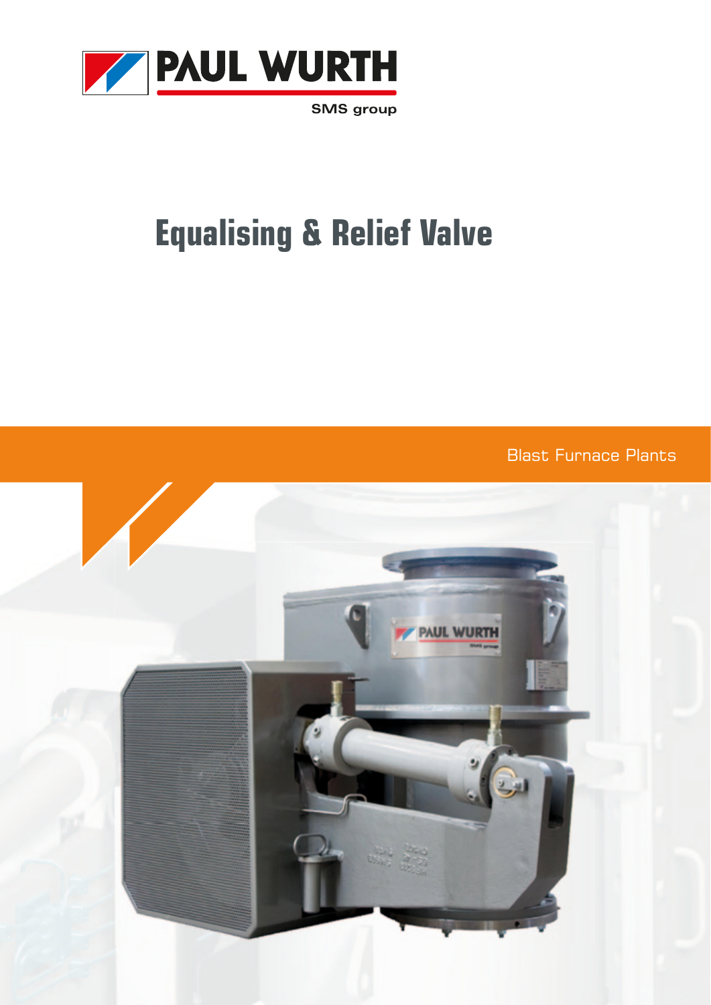

**SMS** group

# **Equalising & Relief Valve**

Blast Furnace Plants

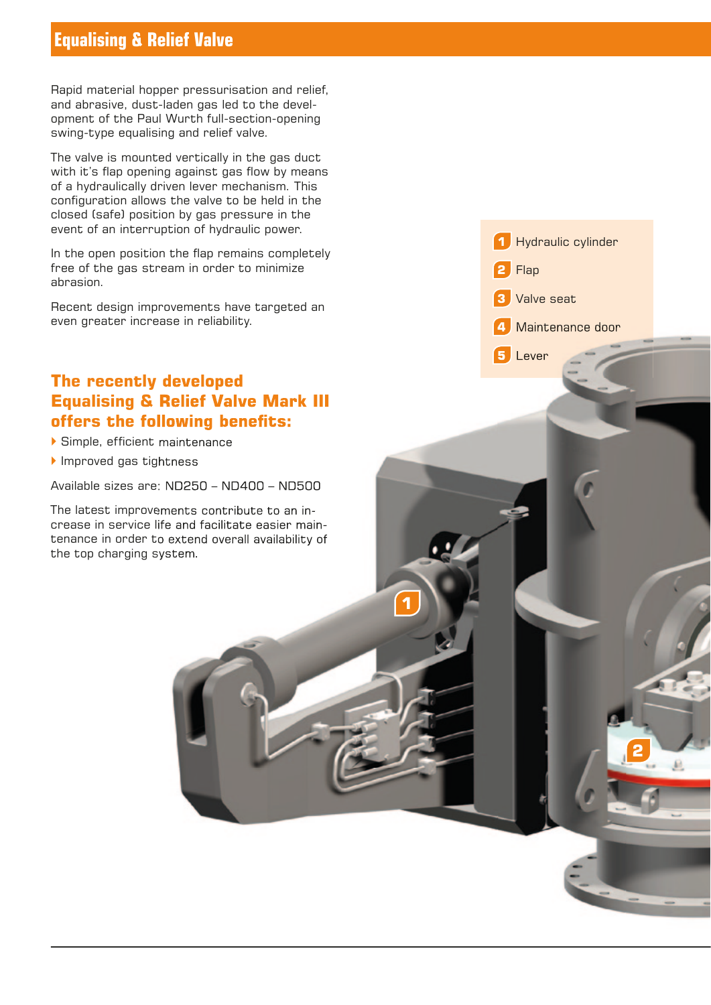## **Equalising & Relief Valve**

Rapid material hopper pressurisation and relief, and abrasive, dust-laden gas led to the development of the Paul Wurth full-section-opening swing-type equalising and relief valve.

The valve is mounted vertically in the gas duct with it's flap opening against gas flow by means of a hydraulically driven lever mechanism. This configuration allows the valve to be held in the closed (safe) position by gas pressure in the event of an interruption of hydraulic power.

In the open position the flap remains completely free of the gas stream in order to minimize abrasion.

Recent design improvements have targeted an even greater increase in reliability.

## **The recently developed Equalising & Relief Valve Mark III offers the following benefits:**

 $\blacktriangleright$  Simple, efficient maintenance

Improved gas tightness

Available sizes are: ND250 – ND400 – ND500

The latest improvements contribute to an increase in service life and facilitate easier maintenance in order to extend overall availability of the top charging system.

 Hydraulic cylinder **2** Flap Valve seat Maintenance door

**2**

**5** Lever

**1**